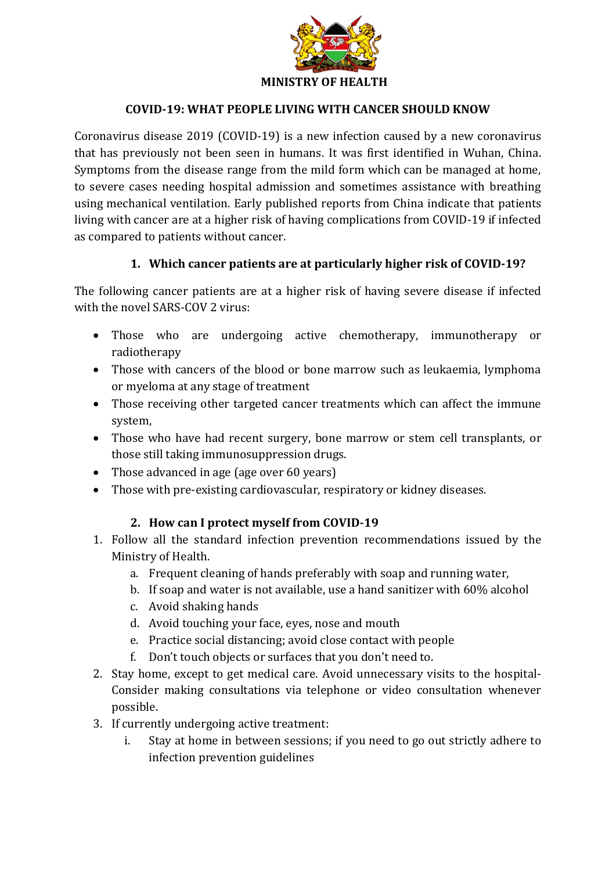

### **COVID-19: WHAT PEOPLE LIVING WITH CANCER SHOULD KNOW**

Coronavirus disease 2019 (COVID-19) is a new infection caused by a new coronavirus that has previously not been seen in humans. It was first identified in Wuhan, China. Symptoms from the disease range from the mild form which can be managed at home, to severe cases needing hospital admission and sometimes assistance with breathing using mechanical ventilation. Early published reports from China indicate that patients living with cancer are at a higher risk of having complications from COVID-19 if infected as compared to patients without cancer.

### **1. Which cancer patients are at particularly higher risk of COVID-19?**

The following cancer patients are at a higher risk of having severe disease if infected with the novel SARS-COV 2 virus:

- Those who are undergoing active chemotherapy, immunotherapy or radiotherapy
- Those with cancers of the blood or bone marrow such as leukaemia, lymphoma or myeloma at any stage of treatment
- Those receiving other targeted cancer treatments which can affect the immune system,
- Those who have had recent surgery, bone marrow or stem cell transplants, or those still taking immunosuppression drugs.
- Those advanced in age (age over 60 years)
- Those with pre-existing cardiovascular, respiratory or kidney diseases.

## **2. How can I protect myself from COVID-19**

- 1. Follow all the standard infection prevention recommendations issued by the Ministry of Health.
	- a. Frequent cleaning of hands preferably with soap and running water,
	- b. If soap and water is not available, use a hand sanitizer with 60% alcohol
	- c. Avoid shaking hands
	- d. Avoid touching your face, eyes, nose and mouth
	- e. Practice social distancing; avoid close contact with people
	- f. Don't touch objects or surfaces that you don't need to.
- 2. Stay home, except to get medical care. Avoid unnecessary visits to the hospital-Consider making consultations via telephone or video consultation whenever possible.
- 3. If currently undergoing active treatment:
	- i. Stay at home in between sessions; if you need to go out strictly adhere to infection prevention guidelines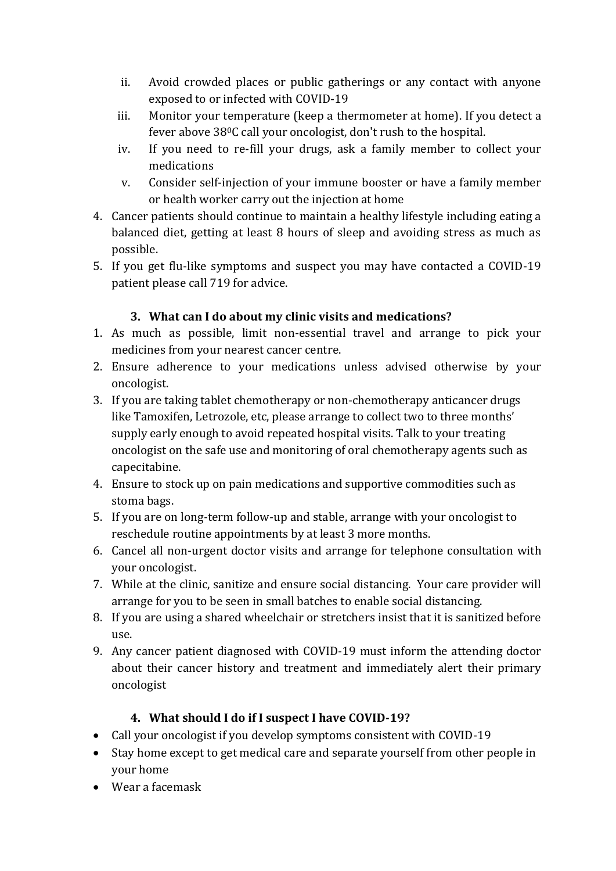- ii. Avoid crowded places or public gatherings or any contact with anyone exposed to or infected with COVID-19
- iii. Monitor your temperature (keep a thermometer at home). If you detect a fever above 380C call your oncologist, don't rush to the hospital.
- iv. If you need to re-fill your drugs, ask a family member to collect your medications
- v. Consider self-injection of your immune booster or have a family member or health worker carry out the injection at home
- 4. Cancer patients should continue to maintain a healthy lifestyle including eating a balanced diet, getting at least 8 hours of sleep and avoiding stress as much as possible.
- 5. If you get flu-like symptoms and suspect you may have contacted a COVID-19 patient please call 719 for advice.

# **3. What can I do about my clinic visits and medications?**

- 1. As much as possible, limit non-essential travel and arrange to pick your medicines from your nearest cancer centre.
- 2. Ensure adherence to your medications unless advised otherwise by your oncologist.
- 3. If you are taking tablet chemotherapy or non-chemotherapy anticancer drugs like Tamoxifen, Letrozole, etc, please arrange to collect two to three months' supply early enough to avoid repeated hospital visits. Talk to your treating oncologist on the safe use and monitoring of oral chemotherapy agents such as capecitabine.
- 4. Ensure to stock up on pain medications and supportive commodities such as stoma bags.
- 5. If you are on long-term follow-up and stable, arrange with your oncologist to reschedule routine appointments by at least 3 more months.
- 6. Cancel all non-urgent doctor visits and arrange for telephone consultation with your oncologist.
- 7. While at the clinic, sanitize and ensure social distancing. Your care provider will arrange for you to be seen in small batches to enable social distancing.
- 8. If you are using a shared wheelchair or stretchers insist that it is sanitized before use.
- 9. Any cancer patient diagnosed with COVID-19 must inform the attending doctor about their cancer history and treatment and immediately alert their primary oncologist

# **4. What should I do if I suspect I have COVID-19?**

- Call your oncologist if you develop symptoms consistent with COVID-19
- Stay home except to get medical care and separate yourself from other people in your home
- Wear a facemask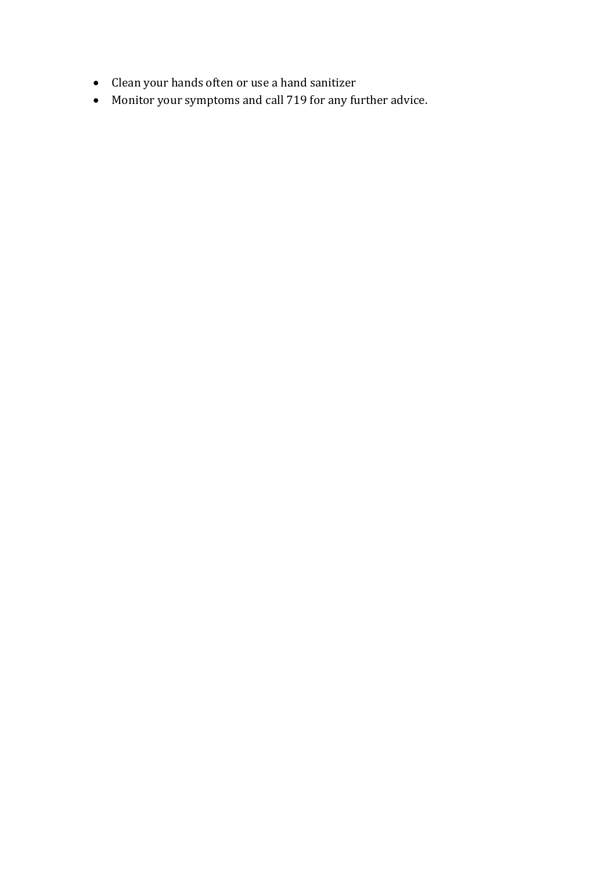- Clean your hands often or use a hand sanitizer
- Monitor your symptoms and call 719 for any further advice.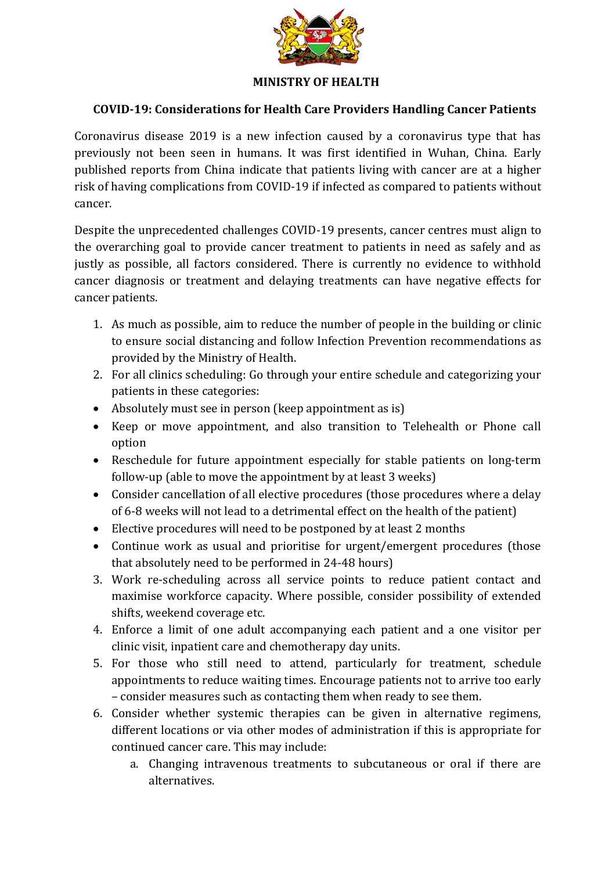

### **MINISTRY OF HEALTH**

### **COVID-19: Considerations for Health Care Providers Handling Cancer Patients**

Coronavirus disease 2019 is a new infection caused by a coronavirus type that has previously not been seen in humans. It was first identified in Wuhan, China. Early published reports from China indicate that patients living with cancer are at a higher risk of having complications from COVID-19 if infected as compared to patients without cancer.

Despite the unprecedented challenges COVID-19 presents, cancer centres must align to the overarching goal to provide cancer treatment to patients in need as safely and as justly as possible, all factors considered. There is currently no evidence to withhold cancer diagnosis or treatment and delaying treatments can have negative effects for cancer patients.

- 1. As much as possible, aim to reduce the number of people in the building or clinic to ensure social distancing and follow Infection Prevention recommendations as provided by the Ministry of Health.
- 2. For all clinics scheduling: Go through your entire schedule and categorizing your patients in these categories:
- Absolutely must see in person (keep appointment as is)
- Keep or move appointment, and also transition to Telehealth or Phone call option
- Reschedule for future appointment especially for stable patients on long-term follow-up (able to move the appointment by at least 3 weeks)
- Consider cancellation of all elective procedures (those procedures where a delay of 6-8 weeks will not lead to a detrimental effect on the health of the patient)
- Elective procedures will need to be postponed by at least 2 months
- Continue work as usual and prioritise for urgent/emergent procedures (those that absolutely need to be performed in 24-48 hours)
- 3. Work re-scheduling across all service points to reduce patient contact and maximise workforce capacity. Where possible, consider possibility of extended shifts, weekend coverage etc.
- 4. Enforce a limit of one adult accompanying each patient and a one visitor per clinic visit, inpatient care and chemotherapy day units.
- 5. For those who still need to attend, particularly for treatment, schedule appointments to reduce waiting times. Encourage patients not to arrive too early – consider measures such as contacting them when ready to see them.
- 6. Consider whether systemic therapies can be given in alternative regimens, different locations or via other modes of administration if this is appropriate for continued cancer care. This may include:
	- a. Changing intravenous treatments to subcutaneous or oral if there are alternatives.